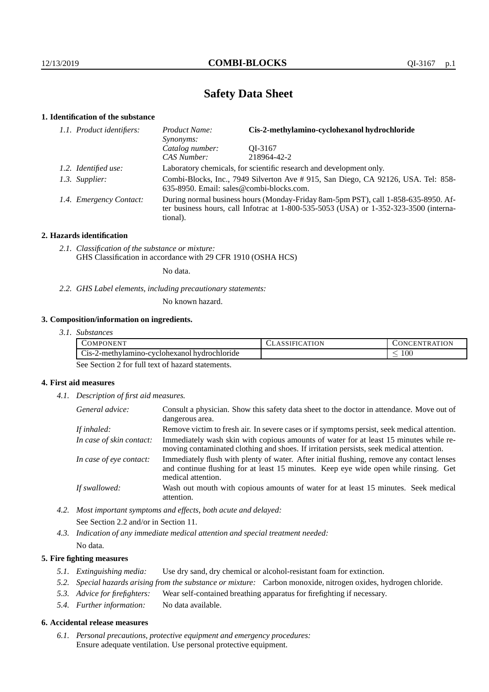# **Safety Data Sheet**

# **1. Identification of the substance**

| 1.1. Product identifiers: | Cis-2-methylamino-cyclohexanol hydrochloride<br>Product Name:<br>Synonyms:                                                                                                              |             |  |
|---------------------------|-----------------------------------------------------------------------------------------------------------------------------------------------------------------------------------------|-------------|--|
|                           | Catalog number:                                                                                                                                                                         | OI-3167     |  |
|                           | CAS Number:                                                                                                                                                                             | 218964-42-2 |  |
| 1.2. Identified use:      | Laboratory chemicals, for scientific research and development only.                                                                                                                     |             |  |
| 1.3. Supplier:            | Combi-Blocks, Inc., 7949 Silverton Ave # 915, San Diego, CA 92126, USA. Tel: 858-<br>635-8950. Email: sales@combi-blocks.com.                                                           |             |  |
| 1.4. Emergency Contact:   | During normal business hours (Monday-Friday 8am-5pm PST), call 1-858-635-8950. Af-<br>ter business hours, call Infotrac at 1-800-535-5053 (USA) or 1-352-323-3500 (interna-<br>tional). |             |  |

## **2. Hazards identification**

*2.1. Classification of the substance or mixture:* GHS Classification in accordance with 29 CFR 1910 (OSHA HCS)

No data.

*2.2. GHS Label elements, including precautionary statements:*

No known hazard.

# **3. Composition/information on ingredients.**

| 3.1. Substances |
|-----------------|
|                 |

| <b>OMP</b><br>. ONEN "                                                     | ١N | $-$<br>$\lambda$<br>EN<br><b>IN</b><br>тк. |
|----------------------------------------------------------------------------|----|--------------------------------------------|
| $\sim$<br>hvdrochloride<br>$\bigcup$ 1S-11<br>2-methylamino-cyclohexanol i |    | $100\,$                                    |

See Section 2 for full text of hazard statements.

# **4. First aid measures**

*4.1. Description of first aid measures.*

| General advice:          | Consult a physician. Show this safety data sheet to the doctor in attendance. Move out of<br>dangerous area.                                                                                            |
|--------------------------|---------------------------------------------------------------------------------------------------------------------------------------------------------------------------------------------------------|
| If inhaled:              | Remove victim to fresh air. In severe cases or if symptoms persist, seek medical attention.                                                                                                             |
| In case of skin contact: | Immediately wash skin with copious amounts of water for at least 15 minutes while re-<br>moving contaminated clothing and shoes. If irritation persists, seek medical attention.                        |
| In case of eye contact:  | Immediately flush with plenty of water. After initial flushing, remove any contact lenses<br>and continue flushing for at least 15 minutes. Keep eye wide open while rinsing. Get<br>medical attention. |
| If swallowed:            | Wash out mouth with copious amounts of water for at least 15 minutes. Seek medical<br>attention.                                                                                                        |

*4.2. Most important symptoms and effects, both acute and delayed:* See Section 2.2 and/or in Section 11.

*4.3. Indication of any immediate medical attention and special treatment needed:* No data.

### **5. Fire fighting measures**

- *5.1. Extinguishing media:* Use dry sand, dry chemical or alcohol-resistant foam for extinction.
- *5.2. Special hazards arising from the substance or mixture:* Carbon monoxide, nitrogen oxides, hydrogen chloride.
- *5.3. Advice for firefighters:* Wear self-contained breathing apparatus for firefighting if necessary.
- *5.4. Further information:* No data available.

#### **6. Accidental release measures**

*6.1. Personal precautions, protective equipment and emergency procedures:* Ensure adequate ventilation. Use personal protective equipment.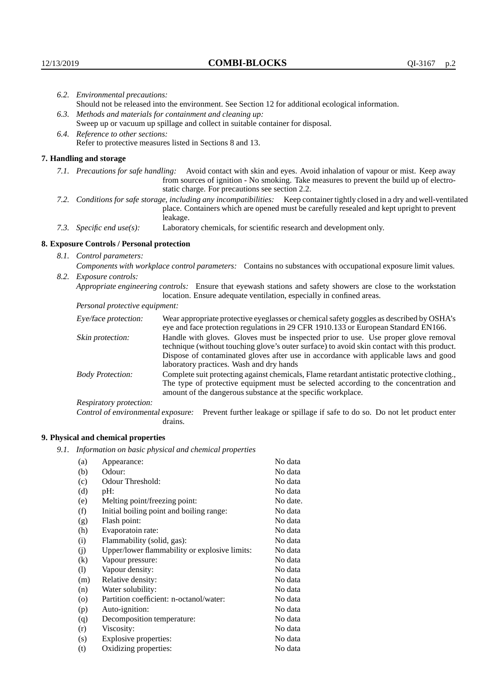|                                                                                | 6.2. Environmental precautions:                                                                                                                                                        |                                                                                                                                                                                                                                                                                                                        |  |  |
|--------------------------------------------------------------------------------|----------------------------------------------------------------------------------------------------------------------------------------------------------------------------------------|------------------------------------------------------------------------------------------------------------------------------------------------------------------------------------------------------------------------------------------------------------------------------------------------------------------------|--|--|
|                                                                                | Should not be released into the environment. See Section 12 for additional ecological information.                                                                                     |                                                                                                                                                                                                                                                                                                                        |  |  |
| 6.3.                                                                           |                                                                                                                                                                                        | Methods and materials for containment and cleaning up:                                                                                                                                                                                                                                                                 |  |  |
| Sweep up or vacuum up spillage and collect in suitable container for disposal. |                                                                                                                                                                                        |                                                                                                                                                                                                                                                                                                                        |  |  |
|                                                                                | 6.4. Reference to other sections:                                                                                                                                                      |                                                                                                                                                                                                                                                                                                                        |  |  |
|                                                                                | Refer to protective measures listed in Sections 8 and 13.                                                                                                                              |                                                                                                                                                                                                                                                                                                                        |  |  |
|                                                                                | 7. Handling and storage                                                                                                                                                                |                                                                                                                                                                                                                                                                                                                        |  |  |
|                                                                                |                                                                                                                                                                                        | 7.1. Precautions for safe handling: Avoid contact with skin and eyes. Avoid inhalation of vapour or mist. Keep away<br>from sources of ignition - No smoking. Take measures to prevent the build up of electro-<br>static charge. For precautions see section 2.2.                                                     |  |  |
|                                                                                |                                                                                                                                                                                        | 7.2. Conditions for safe storage, including any incompatibilities: Keep container tightly closed in a dry and well-ventilated<br>place. Containers which are opened must be carefully resealed and kept upright to prevent<br>leakage.                                                                                 |  |  |
|                                                                                | 7.3. Specific end use(s):                                                                                                                                                              | Laboratory chemicals, for scientific research and development only.                                                                                                                                                                                                                                                    |  |  |
|                                                                                | 8. Exposure Controls / Personal protection                                                                                                                                             |                                                                                                                                                                                                                                                                                                                        |  |  |
|                                                                                | 8.1. Control parameters:                                                                                                                                                               |                                                                                                                                                                                                                                                                                                                        |  |  |
|                                                                                | Components with workplace control parameters: Contains no substances with occupational exposure limit values.                                                                          |                                                                                                                                                                                                                                                                                                                        |  |  |
|                                                                                | 8.2. Exposure controls:                                                                                                                                                                |                                                                                                                                                                                                                                                                                                                        |  |  |
|                                                                                | Appropriate engineering controls: Ensure that eyewash stations and safety showers are close to the workstation<br>location. Ensure adequate ventilation, especially in confined areas. |                                                                                                                                                                                                                                                                                                                        |  |  |
|                                                                                | Personal protective equipment:                                                                                                                                                         |                                                                                                                                                                                                                                                                                                                        |  |  |
|                                                                                | Eye/face protection:                                                                                                                                                                   | Wear appropriate protective eyeglasses or chemical safety goggles as described by OSHA's<br>eye and face protection regulations in 29 CFR 1910.133 or European Standard EN166.                                                                                                                                         |  |  |
|                                                                                | Skin protection:                                                                                                                                                                       | Handle with gloves. Gloves must be inspected prior to use. Use proper glove removal<br>technique (without touching glove's outer surface) to avoid skin contact with this product.<br>Dispose of contaminated gloves after use in accordance with applicable laws and good<br>laboratory practices. Wash and dry hands |  |  |
|                                                                                | <b>Body Protection:</b>                                                                                                                                                                | Complete suit protecting against chemicals, Flame retardant antistatic protective clothing.,<br>The type of protective equipment must be selected according to the concentration and<br>amount of the dangerous substance at the specific workplace.                                                                   |  |  |
|                                                                                | Respiratory protection:                                                                                                                                                                |                                                                                                                                                                                                                                                                                                                        |  |  |
|                                                                                |                                                                                                                                                                                        | $\alpha$ , and $\beta$ , and $\alpha$ , and $\alpha$ , and $\alpha$ , $\alpha$ , $\beta$ , and $\alpha$ , $\beta$ , and $\alpha$ , $\alpha$ , $\alpha$ , $\alpha$ , $\alpha$ , $\alpha$ , $\alpha$ , $\alpha$ , $\alpha$ , $\alpha$ , $\alpha$ , $\alpha$ , $\alpha$ , $\alpha$ , $\alpha$                             |  |  |

Control of environmental exposure: Prevent further leakage or spillage if safe to do so. Do not let product enter drains.

# **9. Physical and chemical properties**

*9.1. Information on basic physical and chemical properties*

| (a)                        | Appearance:                                   | No data  |
|----------------------------|-----------------------------------------------|----------|
| (b)                        | Odour:                                        | No data  |
| (c)                        | Odour Threshold:                              | No data  |
| (d)                        | pH:                                           | No data  |
| (e)                        | Melting point/freezing point:                 | No date. |
| (f)                        | Initial boiling point and boiling range:      | No data  |
| (g)                        | Flash point:                                  | No data  |
| (h)                        | Evaporatoin rate:                             | No data  |
| (i)                        | Flammability (solid, gas):                    | No data  |
| (j)                        | Upper/lower flammability or explosive limits: | No data  |
| $\rm(k)$                   | Vapour pressure:                              | No data  |
| $\left( \mathrm{l}\right)$ | Vapour density:                               | No data  |
| (m)                        | Relative density:                             | No data  |
| (n)                        | Water solubility:                             | No data  |
| $\circ$                    | Partition coefficient: n-octanol/water:       | No data  |
| (p)                        | Auto-ignition:                                | No data  |
| (q)                        | Decomposition temperature:                    | No data  |
| (r)                        | Viscosity:                                    | No data  |
| (s)                        | Explosive properties:                         | No data  |
| (t)                        | Oxidizing properties:                         | No data  |